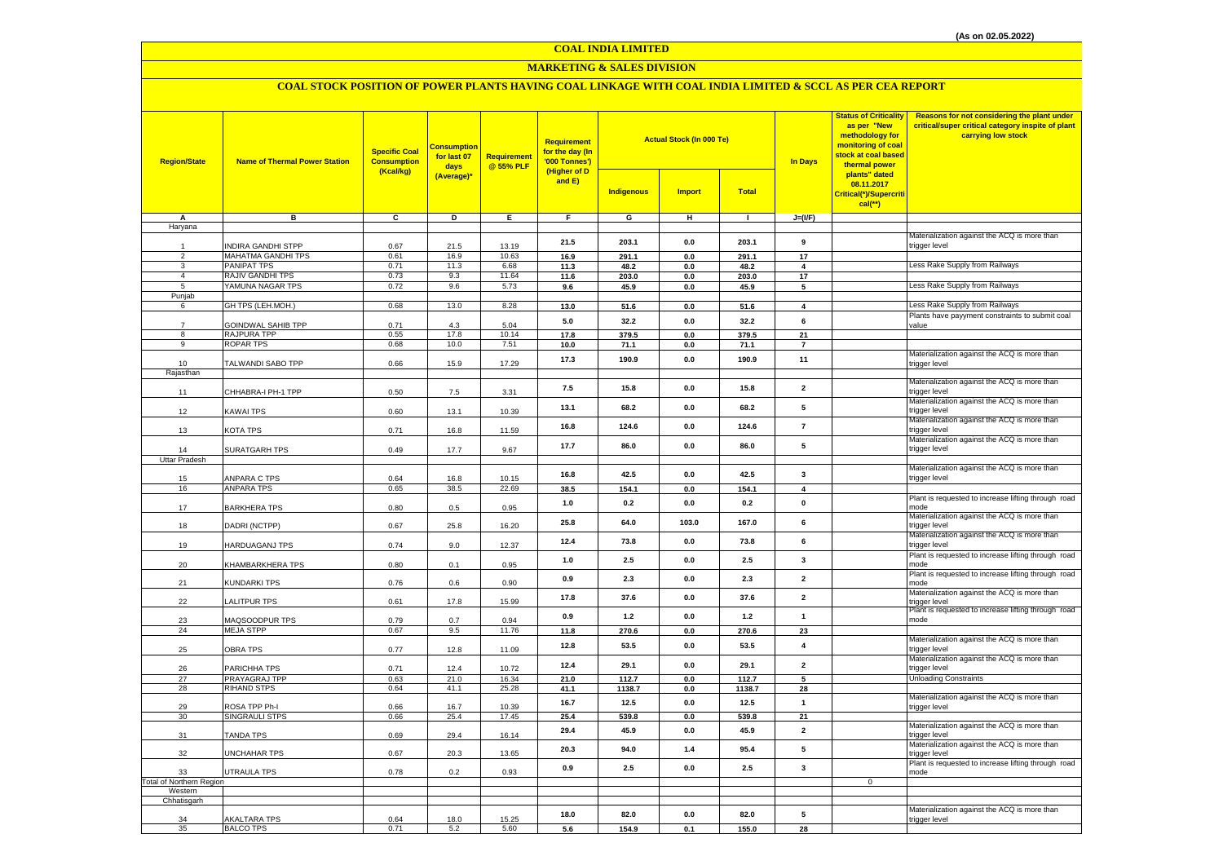#### **COAL INDIA LIMITED**

#### **MARKETING & SALES DIVISION**

## **COAL STOCK POSITION OF POWER PLANTS HAVING COAL LINKAGE WITH COAL INDIA LIMITED & SCCL AS PER CEA REPORT**

| <b>Region/State</b>             | <b>Name of Thermal Power Station</b>     | <b>Specific Coal</b><br><b>Consumption</b><br>(Kcal/kg) | <b>Consumption</b><br>for last 07<br>days<br>(Average)* | Requirement<br>@ 55% PLF | <b>Requirement</b><br>for the day (In<br>'000 Tonnes')<br>(Higher of D |                   | <b>Actual Stock (In 000 Te)</b> |                 | <b>In Days</b>          | <b>Status of Criticality</b><br>as per "New<br>methodology for<br>monitoring of coal<br>stock at coal based<br>thermal power<br>plants" dated | Reasons for not considering the plant under<br>critical/super critical category inspite of plant<br>carrying low stock |
|---------------------------------|------------------------------------------|---------------------------------------------------------|---------------------------------------------------------|--------------------------|------------------------------------------------------------------------|-------------------|---------------------------------|-----------------|-------------------------|-----------------------------------------------------------------------------------------------------------------------------------------------|------------------------------------------------------------------------------------------------------------------------|
|                                 |                                          |                                                         |                                                         |                          | and E)                                                                 | <b>Indigenous</b> | <b>Import</b>                   | <b>Total</b>    |                         | 08.11.2017<br>Critical(*)/Supercriti<br>$cal$ (**)                                                                                            |                                                                                                                        |
| Α                               | в                                        | c                                                       | D                                                       | Ε.                       | F.                                                                     | G                 | н                               | $\mathbf{I}$    | $J=(I/F)$               |                                                                                                                                               |                                                                                                                        |
| Haryana                         |                                          |                                                         |                                                         |                          |                                                                        |                   |                                 |                 |                         |                                                                                                                                               | Materialization against the ACQ is more than                                                                           |
|                                 | INDIRA GANDHI STPP                       | 0.67                                                    | 21.5                                                    | 13.19                    | 21.5                                                                   | 203.1             | $0.0\,$                         | 203.1           | 9                       |                                                                                                                                               | trigger level                                                                                                          |
| $\overline{2}$                  | <b>MAHATMA GANDHI TPS</b>                | 0.61                                                    | 16.9                                                    | 10.63                    | 16.9                                                                   | 291.1             | $\mathbf{0.0}$                  | 291.1           | 17                      |                                                                                                                                               |                                                                                                                        |
| $_{\rm 3}$<br>$\overline{4}$    | <b>PANIPAT TPS</b>                       | 0.71                                                    | 11.3                                                    | 6.68                     | 11.3                                                                   | 48.2              | $0.0\,$                         | 48.2            | $\overline{\mathbf{4}}$ |                                                                                                                                               | Less Rake Supply from Railways                                                                                         |
| $\overline{5}$                  | RAJIV GANDHI TPS<br>YAMUNA NAGAR TPS     | 0.73<br>0.72                                            | 9.3<br>9.6                                              | 11.64<br>5.73            | 11.6<br>9.6                                                            | 203.0<br>45.9     | 0.0<br>$0.0\,$                  | 203.0<br>45.9   | 17<br>5                 |                                                                                                                                               | Less Rake Supply from Railways                                                                                         |
| Punjab                          |                                          |                                                         |                                                         |                          |                                                                        |                   |                                 |                 |                         |                                                                                                                                               |                                                                                                                        |
| 6                               | GH TPS (LEH.MOH.)                        | 0.68                                                    | 13.0                                                    | 8.28                     | 13.0                                                                   | 51.6              | 0.0                             | 51.6            | $\overline{\mathbf{4}}$ |                                                                                                                                               | Less Rake Supply from Railways                                                                                         |
|                                 |                                          |                                                         |                                                         |                          | 5.0                                                                    | 32.2              | 0.0                             | 32.2            | 6                       |                                                                                                                                               | Plants have payyment constraints to submit coal                                                                        |
| $\overline{7}$<br>8             | <b>GOINDWAL SAHIB TPP</b><br>RAJPURA TPP | 0.71<br>0.55                                            | 4.3<br>17.8                                             | 5.04<br>10.14            | 17.8                                                                   | 379.5             | $0.0\,$                         | 379.5           | 21                      |                                                                                                                                               | value                                                                                                                  |
| 9                               | <b>ROPAR TPS</b>                         | 0.68                                                    | 10.0                                                    | 7.51                     | 10.0                                                                   | 71.1              | 0.0                             | 71.1            | $\overline{7}$          |                                                                                                                                               |                                                                                                                        |
|                                 |                                          |                                                         |                                                         |                          | 17.3                                                                   | 190.9             | 0.0                             | 190.9           | 11                      |                                                                                                                                               | Materialization against the ACQ is more than                                                                           |
| 10                              | TALWANDI SABO TPP                        | 0.66                                                    | 15.9                                                    | 17.29                    |                                                                        |                   |                                 |                 |                         |                                                                                                                                               | trigger level                                                                                                          |
| Rajasthan                       |                                          |                                                         |                                                         |                          |                                                                        |                   |                                 |                 |                         |                                                                                                                                               | Materialization against the ACQ is more than                                                                           |
| 11                              | CHHABRA-I PH-1 TPP                       | 0.50                                                    | $7.5\,$                                                 | 3.31                     | 7.5                                                                    | 15.8              | 0.0                             | 15.8            | $\overline{2}$          |                                                                                                                                               | rigger level                                                                                                           |
| 12                              | <b>KAWAI TPS</b>                         | 0.60                                                    | 13.1                                                    | 10.39                    | 13.1                                                                   | 68.2              | $0.0\,$                         | 68.2            | $5\phantom{.0}$         |                                                                                                                                               | Materialization against the ACQ is more than<br>trigger level                                                          |
| 13                              | <b>KOTA TPS</b>                          | 0.71                                                    | 16.8                                                    | 11.59                    | 16.8                                                                   | 124.6             | 0.0                             | 124.6           | $\overline{7}$          |                                                                                                                                               | Materialization against the ACQ is more than<br>trigger level                                                          |
|                                 |                                          |                                                         |                                                         |                          | 17.7                                                                   | 86.0              | $0.0\,$                         | 86.0            | $5\phantom{.0}$         |                                                                                                                                               | Materialization against the ACQ is more than<br>trigger level                                                          |
| 14<br>Uttar Pradesh             | SURATGARH TPS                            | 0.49                                                    | 17.7                                                    | 9.67                     |                                                                        |                   |                                 |                 |                         |                                                                                                                                               |                                                                                                                        |
|                                 |                                          |                                                         |                                                         |                          |                                                                        |                   |                                 |                 |                         |                                                                                                                                               | Materialization against the ACQ is more than                                                                           |
| 15                              | ANPARA C TPS                             | 0.64                                                    | 16.8                                                    | 10.15                    | 16.8                                                                   | 42.5              | 0.0                             | 42.5            | $\mathbf{3}$            |                                                                                                                                               | trigger level                                                                                                          |
| 16                              | <b>ANPARA TPS</b>                        | 0.65                                                    | 38.5                                                    | 22.69                    | 38.5                                                                   | 154.1             | 0.0                             | 154.1           | $\overline{4}$          |                                                                                                                                               |                                                                                                                        |
| 17                              | <b>BARKHERA TPS</b>                      | 0.80                                                    | 0.5                                                     | 0.95                     | $1.0$                                                                  | 0.2               | $0.0\,$                         | 0.2             | $\pmb{0}$               |                                                                                                                                               | Plant is requested to increase lifting through road<br>mode                                                            |
| 18                              | DADRI (NCTPP)                            | 0.67                                                    | 25.8                                                    | 16.20                    | 25.8                                                                   | 64.0              | 103.0                           | 167.0           | 6                       |                                                                                                                                               | Materialization against the ACQ is more than<br>trigger level                                                          |
| 19                              | HARDUAGANJ TPS                           | 0.74                                                    | 9.0                                                     | 12.37                    | 12.4                                                                   | 73.8              | 0.0                             | 73.8            | 6                       |                                                                                                                                               | Materialization against the ACQ is more than<br>trigger level                                                          |
| 20                              | KHAMBARKHERA TPS                         | 0.80                                                    | 0.1                                                     | 0.95                     | 1.0                                                                    | 2.5               | 0.0                             | 2.5             | $\mathbf{3}$            |                                                                                                                                               | Plant is requested to increase lifting through road<br>mode                                                            |
| 21                              | KUNDARKI TPS                             | 0.76                                                    | 0.6                                                     | 0.90                     | 0.9                                                                    | 2.3               | 0.0                             | 2.3             | $\overline{2}$          |                                                                                                                                               | Plant is requested to increase lifting through road<br>mode                                                            |
| 22                              | <b>ALITPUR TPS</b>                       | 0.61                                                    | 17.8                                                    | 15.99                    | 17.8                                                                   | 37.6              | $0.0\,$                         | 37.6            | $\overline{\mathbf{2}}$ |                                                                                                                                               | Materialization against the ACQ is more than<br>trigger level                                                          |
| 23                              | <b>MAQSOODPUR TPS</b>                    | 0.79                                                    | 0.7                                                     | 0.94                     | 0.9                                                                    | $1.2$             | $0.0\,$                         | $1.2$           | $\overline{1}$          |                                                                                                                                               | Plant is requested to increase lifting through road<br>mode                                                            |
| 24                              | <b>MEJA STPP</b>                         | 0.67                                                    | 9.5                                                     | 11.76                    | 11.8                                                                   | 270.6             | 0.0                             | 270.6           | 23                      |                                                                                                                                               |                                                                                                                        |
| 25                              | <b>OBRA TPS</b>                          | 0.77                                                    | 12.8                                                    | 11.09                    | 12.8                                                                   | 53.5              | $0.0\,$                         | 53.5            | $\overline{\mathbf{4}}$ |                                                                                                                                               | Materialization against the ACQ is more than<br>trigger level                                                          |
| 26                              | PARICHHA TPS                             | 0.71                                                    | 12.4                                                    | 10.72                    | 12.4                                                                   | 29.1              | 0.0                             | 29.1            | $\overline{2}$          |                                                                                                                                               | Materialization against the ACQ is more than<br>trigger level                                                          |
| 27<br>28                        | <b>PRAYAGRAJ TPP</b><br>RIHAND STPS      | 0.63<br>0.64                                            | 21.0<br>41.1                                            | 16.34<br>25.28           | 21.0<br>41.1                                                           | 112.7<br>1138.7   | 0.0<br>0.0                      | 112.7<br>1138.7 | 5<br>28                 |                                                                                                                                               | <b>Unloading Constraints</b>                                                                                           |
|                                 |                                          |                                                         |                                                         |                          |                                                                        |                   |                                 |                 |                         |                                                                                                                                               | Materialization against the ACQ is more than                                                                           |
| 29                              | ROSA TPP Ph-I                            | 0.66                                                    | 16.7                                                    | 10.39                    | 16.7                                                                   | 12.5              | 0.0                             | 12.5            | $\mathbf{1}$            |                                                                                                                                               | trigger level                                                                                                          |
| 30                              | SINGRAULI STPS                           | 0.66                                                    | 25.4                                                    | 17.45                    | 25.4                                                                   | 539.8             | 0.0                             | 539.8           | $\overline{21}$         |                                                                                                                                               |                                                                                                                        |
| 31                              | <b>TANDA TPS</b>                         | 0.69                                                    | 29.4                                                    | 16.14                    | 29.4                                                                   | 45.9              | 0.0                             | 45.9            | $\overline{\mathbf{2}}$ |                                                                                                                                               | Materialization against the ACQ is more than<br>trigger level                                                          |
| 32                              | UNCHAHAR TPS                             | 0.67                                                    | 20.3                                                    | 13.65                    | 20.3                                                                   | 94.0              | 1.4                             | 95.4            | 5                       |                                                                                                                                               | Materialization against the ACQ is more than<br>trigger level<br>Plant is requested to increase lifting through road   |
| 33                              | <b>UTRAULA TPS</b>                       | 0.78                                                    | 0.2                                                     | 0.93                     | 0.9                                                                    | 2.5               | 0.0                             | 2.5             | $\mathbf{3}$            |                                                                                                                                               | mode                                                                                                                   |
| <b>Total of Northern Region</b> |                                          |                                                         |                                                         |                          |                                                                        |                   |                                 |                 |                         | $\overline{0}$                                                                                                                                |                                                                                                                        |
| Western<br>Chhatisgarh          |                                          |                                                         |                                                         |                          |                                                                        |                   |                                 |                 |                         |                                                                                                                                               |                                                                                                                        |
|                                 |                                          |                                                         |                                                         |                          |                                                                        |                   |                                 |                 |                         |                                                                                                                                               | Materialization against the ACQ is more than                                                                           |
| 34                              | <b>AKALTARA TPS</b>                      | 0.64                                                    | 18.0                                                    | 15.25                    | 18.0                                                                   | 82.0              | 0.0                             | 82.0            | 5                       |                                                                                                                                               | trigger level                                                                                                          |
| 35                              | <b>BALCO TPS</b>                         | 0.71                                                    | 5.2                                                     | 5.60                     | 5.6                                                                    | 154.9             | 0.1                             | 155.0           | 28                      |                                                                                                                                               |                                                                                                                        |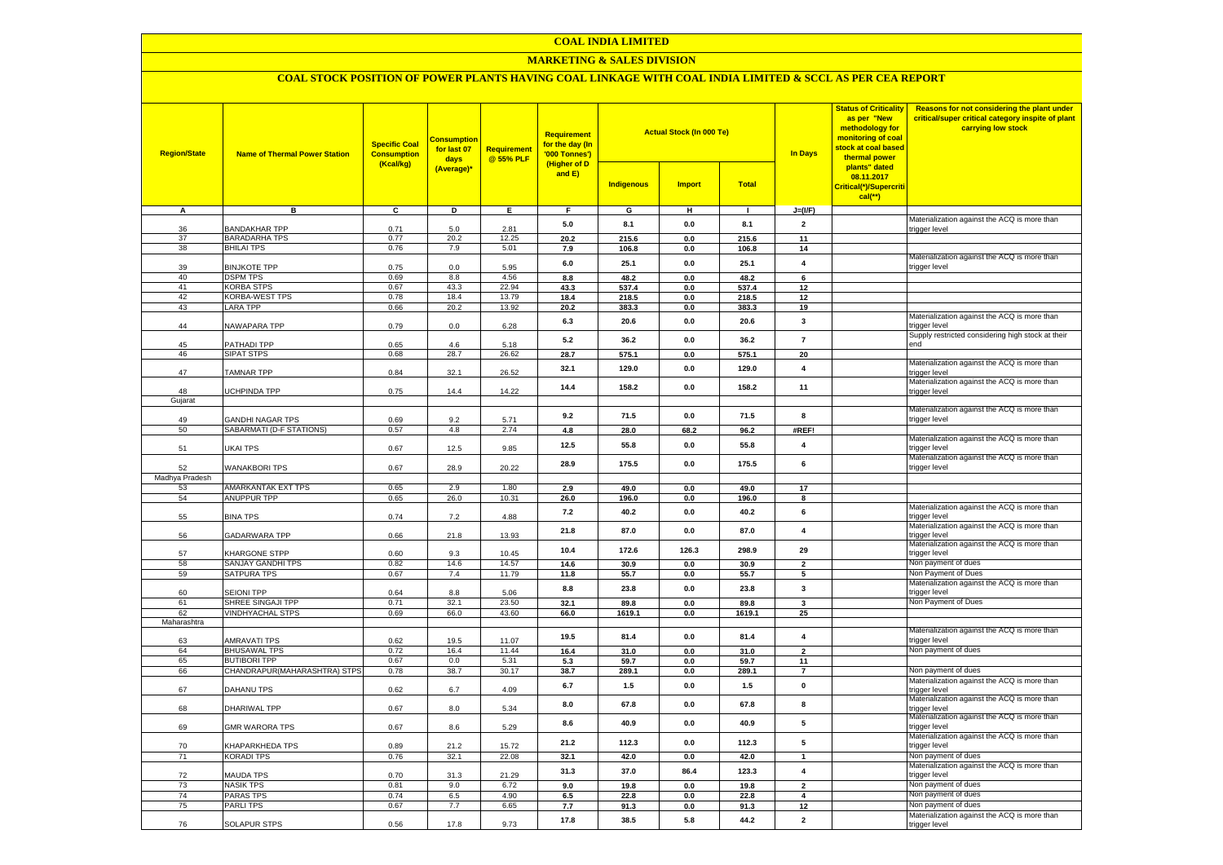#### **COAL INDIA LIMITED**

## **MARKETING & SALES DIVISION**

## **COAL STOCK POSITION OF POWER PLANTS HAVING COAL LINKAGE WITH COAL INDIA LIMITED & SCCL AS PER CEA REPORT**

| <b>Region/State</b> | <b>Name of Thermal Power Station</b>       | <b>Specific Coal</b><br><b>Consumption</b><br>(Kcal/kg) | <b>Consumption</b><br>for last 07<br>days<br>(Average)* | <b>Requirement</b><br>@ 55% PLF | <b>Requirement</b><br>for the day (In<br>'000 Tonnes')<br>(Higher of D<br>and $E$ ) | <b>Indigenous</b> | <b>Actual Stock (In 000 Te)</b><br><b>Import</b> | <b>Total</b>  | <b>In Days</b>           | <b>Status of Criticality</b><br>as per "New<br>methodology for<br>monitoring of coal<br><mark>stock at coal based</mark><br>thermal power<br>plants" dated<br>08.11.2017<br>Critical(*)/Supercriti<br>$cal$ (**) | Reasons for not considering the plant under<br>critical/super critical category inspite of plant<br>carrying low stock |
|---------------------|--------------------------------------------|---------------------------------------------------------|---------------------------------------------------------|---------------------------------|-------------------------------------------------------------------------------------|-------------------|--------------------------------------------------|---------------|--------------------------|------------------------------------------------------------------------------------------------------------------------------------------------------------------------------------------------------------------|------------------------------------------------------------------------------------------------------------------------|
| A                   | в                                          | c                                                       | D                                                       | Ε                               | F                                                                                   | G                 | н                                                | $\mathbf{L}$  | $J=(VF)$                 |                                                                                                                                                                                                                  |                                                                                                                        |
|                     |                                            |                                                         |                                                         |                                 | 5.0                                                                                 | 8.1               | 0.0                                              | 8.1           | $\overline{2}$           |                                                                                                                                                                                                                  | Materialization against the ACQ is more than                                                                           |
| 36                  | BANDAKHAR TPP                              | 0.71                                                    | 5.0                                                     | 2.81                            |                                                                                     |                   |                                                  |               |                          |                                                                                                                                                                                                                  | trigger level                                                                                                          |
| 37<br>38            | <b>BARADARHA TPS</b><br><b>BHILAI TPS</b>  | 0.77<br>0.76                                            | 20.2<br>7.9                                             | 12.25<br>5.01                   | 20.2                                                                                | 215.6             | 0.0                                              | 215.6         | 11<br>14                 |                                                                                                                                                                                                                  |                                                                                                                        |
|                     |                                            |                                                         |                                                         |                                 | 7.9                                                                                 | 106.8             | 0.0                                              | 106.8         |                          |                                                                                                                                                                                                                  | Materialization against the ACQ is more than                                                                           |
| 39                  | <b>BINJKOTE TPP</b>                        | 0.75                                                    | $0.0\,$                                                 | 5.95                            | 6.0                                                                                 | 25.1              | 0.0                                              | 25.1          | $\overline{\mathbf{4}}$  |                                                                                                                                                                                                                  | trigger level                                                                                                          |
| 40                  | <b>DSPM TPS</b>                            | 0.69                                                    | 8.8                                                     | 4.56                            | 8.8                                                                                 | 48.2              | 0.0                                              | 48.2          | 6                        |                                                                                                                                                                                                                  |                                                                                                                        |
| 41                  | <b>KORBA STPS</b>                          | 0.67                                                    | 43.3                                                    | 22.94                           | 43.3                                                                                | 537.4             | $0.0\,$                                          | 537.4         | 12                       |                                                                                                                                                                                                                  |                                                                                                                        |
| 42                  | KORBA-WEST TPS                             | 0.78                                                    | 18.4                                                    | 13.79                           | 18.4                                                                                | 218.5             | 0.0                                              | 218.5         | 12                       |                                                                                                                                                                                                                  |                                                                                                                        |
| 43                  | <b>LARA TPP</b>                            | 0.66                                                    | 20.2                                                    | 13.92                           | 20.2                                                                                | 383.3             | 0.0                                              | 383.3         | 19                       |                                                                                                                                                                                                                  |                                                                                                                        |
| 44                  | <b>VAWAPARA TPP</b>                        | 0.79                                                    | 0.0                                                     | 6.28                            | 6.3                                                                                 | 20.6              | 0.0                                              | 20.6          | $\mathbf{3}$             |                                                                                                                                                                                                                  | Materialization against the ACQ is more than<br>rigger level                                                           |
|                     |                                            |                                                         |                                                         |                                 | 5.2                                                                                 | 36.2              | 0.0                                              | 36.2          | $\overline{7}$           |                                                                                                                                                                                                                  | Supply restricted considering high stock at their                                                                      |
| 45                  | <b>PATHADI TPP</b>                         | 0.65                                                    | 4.6                                                     | 5.18                            |                                                                                     |                   |                                                  |               |                          |                                                                                                                                                                                                                  | hne                                                                                                                    |
| 46                  | SIPAT STPS                                 | 0.68                                                    | 28.7                                                    | 26.62                           | 28.7                                                                                | 575.1             | 0.0                                              | 575.1         | 20                       |                                                                                                                                                                                                                  | Materialization against the ACQ is more than                                                                           |
| 47                  | TAMNAR TPP                                 | 0.84                                                    | 32.1                                                    | 26.52                           | 32.1                                                                                | 129.0             | 0.0                                              | 129.0         | $\overline{\mathbf{4}}$  |                                                                                                                                                                                                                  | trigger level                                                                                                          |
|                     |                                            |                                                         |                                                         |                                 | 14.4                                                                                | 158.2             | 0.0                                              | 158.2         | 11                       |                                                                                                                                                                                                                  | Materialization against the ACQ is more than                                                                           |
| 48<br>Gujarat       | <b>JCHPINDA TPP</b>                        | 0.75                                                    | 14.4                                                    | 14.22                           |                                                                                     |                   |                                                  |               |                          |                                                                                                                                                                                                                  | trigger level                                                                                                          |
|                     |                                            |                                                         |                                                         |                                 |                                                                                     |                   |                                                  |               |                          |                                                                                                                                                                                                                  | Materialization against the ACQ is more than                                                                           |
| 49                  | <b>GANDHI NAGAR TPS</b>                    | 0.69                                                    | 9.2                                                     | 5.71                            | 9.2                                                                                 | 71.5              | 0.0                                              | 71.5          | 8                        |                                                                                                                                                                                                                  | trigger level                                                                                                          |
| 50                  | SABARMATI (D-F STATIONS)                   | 0.57                                                    | 4.8                                                     | 2.74                            | 4.8                                                                                 | 28.0              | 68.2                                             | 96.2          | #REF!                    |                                                                                                                                                                                                                  |                                                                                                                        |
|                     |                                            |                                                         |                                                         |                                 | 12.5                                                                                | 55.8              | 0.0                                              | 55.8          | $\overline{4}$           |                                                                                                                                                                                                                  | Materialization against the ACQ is more than                                                                           |
| 51                  | UKAI TPS                                   | 0.67                                                    | 12.5                                                    | 9.85                            |                                                                                     |                   |                                                  |               |                          |                                                                                                                                                                                                                  | rigger level                                                                                                           |
| 52                  | <b>WANAKBORI TPS</b>                       | 0.67                                                    | 28.9                                                    | 20.22                           | 28.9                                                                                | 175.5             | 0.0                                              | 175.5         | 6                        |                                                                                                                                                                                                                  | Materialization against the ACQ is more than<br>trigger level                                                          |
| Madhya Pradesh      |                                            |                                                         |                                                         |                                 |                                                                                     |                   |                                                  |               |                          |                                                                                                                                                                                                                  |                                                                                                                        |
| 53                  | AMARKANTAK EXT TPS                         | 0.65                                                    | 2.9                                                     | 1.80                            | 2.9                                                                                 | 49.0              | 0.0                                              | 49.0          | 17                       |                                                                                                                                                                                                                  |                                                                                                                        |
| 54                  | ANUPPUR TPP                                | 0.65                                                    | 26.0                                                    | 10.31                           | 26.0                                                                                | 196.0             | 0.0                                              | 196.0         | 8                        |                                                                                                                                                                                                                  |                                                                                                                        |
|                     |                                            |                                                         |                                                         |                                 | 7.2                                                                                 | 40.2              | 0.0                                              | 40.2          | 6                        |                                                                                                                                                                                                                  | Materialization against the ACQ is more than                                                                           |
| 55                  | <b>BINA TPS</b>                            | 0.74                                                    | 7.2                                                     | 4.88                            |                                                                                     |                   |                                                  |               |                          |                                                                                                                                                                                                                  | rigger level                                                                                                           |
| 56                  | <b>GADARWARA TPP</b>                       | 0.66                                                    | 21.8                                                    | 13.93                           | 21.8                                                                                | 87.0              | 0.0                                              | 87.0          | $\overline{4}$           |                                                                                                                                                                                                                  | Materialization against the ACQ is more than<br>trigger level                                                          |
|                     |                                            |                                                         |                                                         |                                 |                                                                                     |                   |                                                  |               |                          |                                                                                                                                                                                                                  | Materialization against the ACQ is more than                                                                           |
| 57                  | KHARGONE STPP                              | 0.60                                                    | 9.3                                                     | 10.45                           | 10.4                                                                                | 172.6             | 126.3                                            | 298.9         | 29                       |                                                                                                                                                                                                                  | trigger level                                                                                                          |
| 58                  | SANJAY GANDHI TPS                          | 0.82                                                    | 14.6                                                    | 14.57                           | 14.6                                                                                | 30.9              | 0.0                                              | 30.9          | $\overline{\phantom{a}}$ |                                                                                                                                                                                                                  | Non payment of dues                                                                                                    |
| 59                  | <b>SATPURA TPS</b>                         | 0.67                                                    | 7.4                                                     | 11.79                           | 11.8                                                                                | 55.7              | 0.0                                              | 55.7          | 5                        |                                                                                                                                                                                                                  | Non Payment of Dues                                                                                                    |
|                     |                                            |                                                         |                                                         |                                 | 8.8                                                                                 | 23.8              | 0.0                                              | 23.8          | $\mathbf{3}$             |                                                                                                                                                                                                                  | Materialization against the ACQ is more than                                                                           |
| 60<br>61            | <b>SEIONI TPP</b><br>SHREE SINGAJI TPP     | 0.64<br>0.71                                            | 8.8<br>32.1                                             | 5.06<br>23.50                   | 32.1                                                                                | 89.8              | 0.0                                              | 89.8          | $\overline{\mathbf{3}}$  |                                                                                                                                                                                                                  | trigger level<br>Non Payment of Dues                                                                                   |
| 62                  | <b>VINDHYACHAL STPS</b>                    | 0.69                                                    | 66.0                                                    | 43.60                           | 66.0                                                                                | 1619.1            | 0.0                                              | 1619.1        | 25                       |                                                                                                                                                                                                                  |                                                                                                                        |
| Maharashtra         |                                            |                                                         |                                                         |                                 |                                                                                     |                   |                                                  |               |                          |                                                                                                                                                                                                                  |                                                                                                                        |
|                     |                                            |                                                         |                                                         |                                 | 19.5                                                                                | 81.4              | 0.0                                              | 81.4          | $\overline{4}$           |                                                                                                                                                                                                                  | Materialization against the ACQ is more than                                                                           |
| 63                  | AMRAVATI TPS                               | 0.62                                                    | 19.5                                                    | 11.07                           |                                                                                     |                   |                                                  |               |                          |                                                                                                                                                                                                                  | trigger level                                                                                                          |
| 64                  | <b>BHUSAWAL TPS</b><br><b>BUTIBORI TPP</b> | 0.72                                                    | 16.4                                                    | 11.44                           | 16.4                                                                                | 31.0              | 0.0                                              | 31.0          | $\overline{2}$           |                                                                                                                                                                                                                  | Non payment of dues                                                                                                    |
| 65<br>66            | CHANDRAPUR(MAHARASHTRA) STPS               | 0.67<br>0.78                                            | 0.0<br>38.7                                             | 5.31<br>30.17                   | 5.3<br>38.7                                                                         | 59.7<br>289.1     | 0.0<br>0.0                                       | 59.7<br>289.1 | 11<br>$\overline{7}$     |                                                                                                                                                                                                                  | Non payment of dues                                                                                                    |
|                     |                                            |                                                         |                                                         |                                 |                                                                                     |                   |                                                  |               |                          |                                                                                                                                                                                                                  | Materialization against the ACQ is more than                                                                           |
| 67                  | DAHANU TPS                                 | 0.62                                                    | 6.7                                                     | 4.09                            | 6.7                                                                                 | 1.5               | 0.0                                              | $1.5$         | $\pmb{\mathsf{o}}$       |                                                                                                                                                                                                                  | trigger level                                                                                                          |
| 68                  | DHARIWAL TPP                               |                                                         | 8.0                                                     | 5.34                            | 8.0                                                                                 | 67.8              | 0.0                                              | 67.8          | 8                        |                                                                                                                                                                                                                  | Materialization against the ACQ is more than                                                                           |
|                     |                                            | 0.67                                                    |                                                         |                                 |                                                                                     |                   |                                                  |               |                          |                                                                                                                                                                                                                  | trigger level<br>Materialization against the ACQ is more than                                                          |
| 69                  | <b>GMR WARORA TPS</b>                      | 0.67                                                    | 8.6                                                     | 5.29                            | 8.6                                                                                 | 40.9              | 0.0                                              | 40.9          | 5                        |                                                                                                                                                                                                                  | trigger level                                                                                                          |
|                     |                                            |                                                         |                                                         |                                 | 21.2                                                                                | 112.3             | 0.0                                              | 112.3         | 5                        |                                                                                                                                                                                                                  | Materialization against the ACQ is more than                                                                           |
| 70                  | <b>CHAPARKHEDA TPS</b>                     | 0.89                                                    | 21.2                                                    | 15.72                           |                                                                                     |                   |                                                  |               |                          |                                                                                                                                                                                                                  | trigger level                                                                                                          |
| 71                  | <b>KORADI TPS</b>                          | 0.76                                                    | 32.1                                                    | 22.08                           | 32.1                                                                                | 42.0              | 0.0                                              | 42.0          | $\overline{1}$           |                                                                                                                                                                                                                  | Non payment of dues<br>Materialization against the ACQ is more than                                                    |
| 72                  | MAUDA TPS                                  | 0.70                                                    | 31.3                                                    | 21.29                           | 31.3                                                                                | 37.0              | 86.4                                             | 123.3         | $\overline{\mathbf{4}}$  |                                                                                                                                                                                                                  | trigger level                                                                                                          |
| 73                  | <b>NASIK TPS</b>                           | 0.81                                                    | 9.0                                                     | 6.72                            | 9.0                                                                                 | 19.8              | 0.0                                              | 19.8          | $\overline{2}$           |                                                                                                                                                                                                                  | Non payment of dues                                                                                                    |
| 74                  | PARAS TPS                                  | 0.74                                                    | 6.5                                                     | 4.90                            | 6.5                                                                                 | 22.8              | 0.0                                              | 22.8          | $\overline{\mathbf{4}}$  |                                                                                                                                                                                                                  | Non payment of dues                                                                                                    |
| 75                  | <b>PARLITPS</b>                            | 0.67                                                    | 7.7                                                     | 6.65                            | 7.7                                                                                 | 91.3              | 0.0                                              | 91.3          | 12                       |                                                                                                                                                                                                                  | Non payment of dues                                                                                                    |
|                     |                                            |                                                         |                                                         |                                 | 17.8                                                                                | 38.5              | 5.8                                              | 44.2          | $\overline{\mathbf{2}}$  |                                                                                                                                                                                                                  | Materialization against the ACQ is more than                                                                           |
| 76                  | <b>SOLAPUR STPS</b>                        | 0.56                                                    | 17.8                                                    | 9.73                            |                                                                                     |                   |                                                  |               |                          |                                                                                                                                                                                                                  | trigger level                                                                                                          |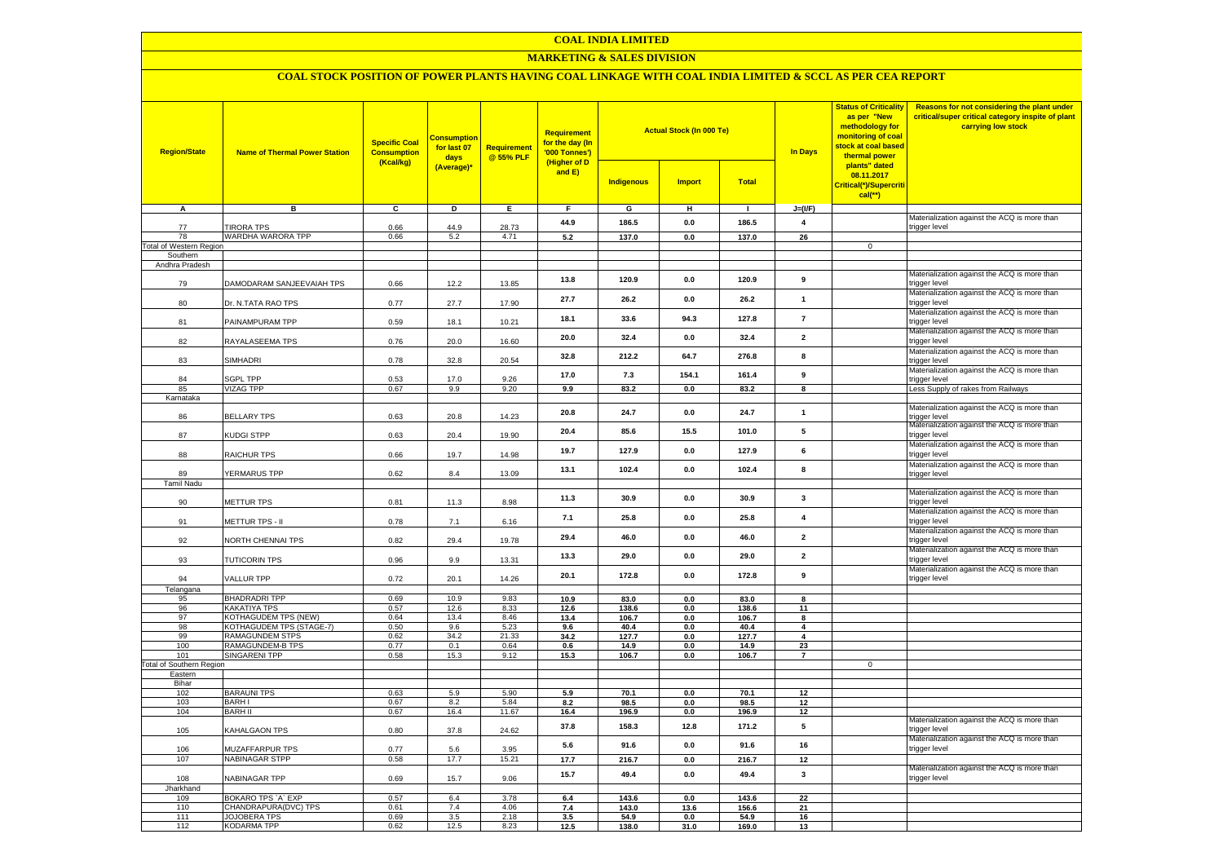#### **COAL INDIA LIMITED**

## **MARKETING & SALES DIVISION**

# **COAL STOCK POSITION OF POWER PLANTS HAVING COAL LINKAGE WITH COAL INDIA LIMITED & SCCL AS PER CEA REPORT**

| <b>Region/State</b><br><b>Name of Thermal Power Station</b> |                                             | <b>Consumption</b><br><b>Specific Coal</b><br>for last 07<br><b>Consumption</b><br>days<br>(Kcal/kg)<br>(Average)* |              | Requirement<br>@ 55% PLF | <b>Requirement</b><br>for the day (In<br>'000 Tonnes')<br>(Higher of D<br>and E) | <b>Actual Stock (In 000 Te)</b><br>Total<br><b>Indigenous</b><br><b>Import</b> |                        |               | In Days                 | <b>Status of Criticality</b><br>as per "New<br>methodology for<br>monitoring of coal<br>stock at coal based<br>thermal power<br>plants" dated<br>08.11.2017<br>Critical(*)/Supercriti | Reasons for not considering the plant under<br>critical/super critical category inspite of plant<br>carrying low stock |
|-------------------------------------------------------------|---------------------------------------------|--------------------------------------------------------------------------------------------------------------------|--------------|--------------------------|----------------------------------------------------------------------------------|--------------------------------------------------------------------------------|------------------------|---------------|-------------------------|---------------------------------------------------------------------------------------------------------------------------------------------------------------------------------------|------------------------------------------------------------------------------------------------------------------------|
|                                                             |                                             |                                                                                                                    |              |                          |                                                                                  |                                                                                |                        |               |                         | $cal$ (**)                                                                                                                                                                            |                                                                                                                        |
| А                                                           | в                                           | c                                                                                                                  | D            | Е.                       | F.                                                                               | G                                                                              | н                      | $\mathbf{I}$  | $J=(I/F)$               |                                                                                                                                                                                       |                                                                                                                        |
| 77                                                          | <b>TIRORA TPS</b>                           | 0.66                                                                                                               | 44.9         | 28.73                    | 44.9                                                                             | 186.5                                                                          | 0.0                    | 186.5         | $\overline{\mathbf{4}}$ |                                                                                                                                                                                       | Materialization against the ACQ is more than<br>trigger level                                                          |
| 78                                                          | WARDHA WARORA TPP                           | 0.66                                                                                                               | 5.2          | 4.71                     | 5.2                                                                              | 137.0                                                                          | 0.0                    | 137.0         | 26                      |                                                                                                                                                                                       |                                                                                                                        |
| <b>Total of Western Region</b>                              |                                             |                                                                                                                    |              |                          |                                                                                  |                                                                                |                        |               |                         | $\mathbf 0$                                                                                                                                                                           |                                                                                                                        |
| Southern                                                    |                                             |                                                                                                                    |              |                          |                                                                                  |                                                                                |                        |               |                         |                                                                                                                                                                                       |                                                                                                                        |
| Andhra Pradesh                                              |                                             |                                                                                                                    |              |                          |                                                                                  |                                                                                |                        |               |                         |                                                                                                                                                                                       |                                                                                                                        |
| 79                                                          | DAMODARAM SANJEEVAIAH TPS                   | 0.66                                                                                                               | 12.2         | 13.85                    | 13.8                                                                             | 120.9                                                                          | 0.0                    | 120.9         | 9                       |                                                                                                                                                                                       | Materialization against the ACQ is more than<br>trigger level                                                          |
| 80                                                          | Dr. N.TATA RAO TPS                          | 0.77                                                                                                               | 27.7         | 17.90                    | 27.7                                                                             | 26.2                                                                           | 0.0                    | 26.2          | $\mathbf{1}$            |                                                                                                                                                                                       | Materialization against the ACQ is more than<br>trigger level                                                          |
| 81                                                          | PAINAMPURAM TPP                             | 0.59                                                                                                               | 18.1         | 10.21                    | 18.1                                                                             | 33.6                                                                           | 94.3                   | 127.8         | $\overline{7}$          |                                                                                                                                                                                       | Materialization against the ACQ is more than<br>trigger level                                                          |
| 82                                                          | RAYALASEEMA TPS                             | 0.76                                                                                                               | 20.0         | 16.60                    | 20.0                                                                             | 32.4                                                                           | 0.0                    | 32.4          | $\overline{\mathbf{2}}$ |                                                                                                                                                                                       | Materialization against the ACQ is more than<br>trigger level                                                          |
| 83                                                          | SIMHADRI                                    | 0.78                                                                                                               | 32.8         | 20.54                    | 32.8                                                                             | 212.2                                                                          | 64.7                   | 276.8         | 8                       |                                                                                                                                                                                       | Materialization against the ACQ is more than<br>trigger level                                                          |
| 84                                                          | SGPL TPP                                    | 0.53                                                                                                               | 17.0         | 9.26                     | 17.0                                                                             | 7.3                                                                            | 154.1                  | 161.4         | 9                       |                                                                                                                                                                                       | Materialization against the ACQ is more than<br>trigger level                                                          |
| 85                                                          | <b>VIZAG TPP</b>                            | 0.67                                                                                                               | 9.9          | 9.20                     | 9.9                                                                              | 83.2                                                                           | 0.0                    | 83.2          | $\overline{\mathbf{8}}$ |                                                                                                                                                                                       | Less Supply of rakes from Railways                                                                                     |
| Karnataka                                                   |                                             |                                                                                                                    |              |                          |                                                                                  |                                                                                |                        |               |                         |                                                                                                                                                                                       |                                                                                                                        |
| 86                                                          | <b>BELLARY TPS</b>                          | 0.63                                                                                                               | 20.8         | 14.23                    | 20.8                                                                             | 24.7                                                                           | 0.0                    | 24.7          | $\mathbf{1}$            |                                                                                                                                                                                       | Materialization against the ACQ is more than<br>trigger level                                                          |
| 87                                                          | KUDGI STPP                                  | 0.63                                                                                                               | 20.4         | 19.90                    | 20.4                                                                             | 85.6                                                                           | 15.5                   | 101.0         | 5                       |                                                                                                                                                                                       | Materialization against the ACQ is more than<br>trigger level                                                          |
| 88                                                          | RAICHUR TPS                                 | 0.66                                                                                                               | 19.7         | 14.98                    | 19.7                                                                             | 127.9                                                                          | 0.0                    | 127.9         | 6                       |                                                                                                                                                                                       | Materialization against the ACQ is more than<br>trigger level                                                          |
| 89                                                          | YERMARUS TPP                                | 0.62                                                                                                               | 8.4          | 13.09                    | 13.1                                                                             | 102.4                                                                          | 0.0                    | 102.4         | 8                       |                                                                                                                                                                                       | Materialization against the ACQ is more than<br>trigger level                                                          |
| <b>Tamil Nadu</b>                                           |                                             |                                                                                                                    |              |                          |                                                                                  |                                                                                |                        |               |                         |                                                                                                                                                                                       |                                                                                                                        |
| 90                                                          | METTUR TPS                                  | 0.81                                                                                                               | 11.3         | 8.98                     | 11.3                                                                             | 30.9                                                                           | 0.0                    | 30.9          | $\mathbf{3}$            |                                                                                                                                                                                       | Materialization against the ACQ is more than<br>trigger level                                                          |
| 91                                                          | METTUR TPS - II                             | 0.78                                                                                                               | 7.1          | 6.16                     | 7.1                                                                              | 25.8                                                                           | 0.0                    | 25.8          | $\overline{\mathbf{4}}$ |                                                                                                                                                                                       | Materialization against the ACQ is more than<br>trigger level                                                          |
| 92                                                          | NORTH CHENNAI TPS                           | 0.82                                                                                                               | 29.4         | 19.78                    | 29.4                                                                             | 46.0                                                                           | 0.0                    | 46.0          | $\overline{\mathbf{2}}$ |                                                                                                                                                                                       | Materialization against the ACQ is more than<br>trigger level                                                          |
| 93                                                          | TUTICORIN TPS                               | 0.96                                                                                                               | 9.9          | 13.31                    | 13.3                                                                             | 29.0                                                                           | 0.0                    | 29.0          | $\overline{\mathbf{2}}$ |                                                                                                                                                                                       | Materialization against the ACQ is more than<br>trigger level                                                          |
| 94                                                          | VALLUR TPP                                  | 0.72                                                                                                               | 20.1         | 14.26                    | 20.1                                                                             | 172.8                                                                          | 0.0                    | 172.8         | 9                       |                                                                                                                                                                                       | Materialization against the ACQ is more than<br>trigger level                                                          |
| Telangana                                                   |                                             |                                                                                                                    |              |                          |                                                                                  |                                                                                |                        |               |                         |                                                                                                                                                                                       |                                                                                                                        |
| 95<br>96                                                    | <b>BHADRADRI TPP</b><br>KAKATIYA TPS        | 0.69<br>0.57                                                                                                       | 10.9<br>12.6 | 9.83<br>8.33             | 10.9<br>12.6                                                                     | 83.0<br>138.6                                                                  | 0.0<br>0.0             | 83.0<br>138.6 | 8<br>11                 |                                                                                                                                                                                       |                                                                                                                        |
| 97                                                          | KOTHAGUDEM TPS (NEW)                        | 0.64                                                                                                               | 13.4         | 8.46                     | 13.4                                                                             | 106.7                                                                          | 0.0                    | 106.7         | 8                       |                                                                                                                                                                                       |                                                                                                                        |
| 98                                                          | KOTHAGUDEM TPS (STAGE-7)                    | 0.50                                                                                                               | 9.6          | 5.23                     | 9.6                                                                              | 40.4                                                                           | 0.0                    | 40.4          | $\overline{4}$          |                                                                                                                                                                                       |                                                                                                                        |
| 99                                                          | RAMAGUNDEM STPS                             | 0.62                                                                                                               | 34.2         | 21.33                    | 34.2                                                                             | 127.7                                                                          | 0.0                    | 127.7         | $\overline{4}$          |                                                                                                                                                                                       |                                                                                                                        |
| 100<br>101                                                  | RAMAGUNDEM-B TPS<br><b>SINGARENI TPP</b>    | 0.77                                                                                                               | 0.1          | 0.64<br>9.12             | 0.6                                                                              | 14.9                                                                           | 0.0                    | 14.9          | 23                      |                                                                                                                                                                                       |                                                                                                                        |
| <b>Total of Southern Region</b>                             |                                             | 0.58                                                                                                               | 15.3         |                          | 15.3                                                                             | 106.7                                                                          | 0.0                    | 106.7         | $\overline{7}$          | $\mathbf 0$                                                                                                                                                                           |                                                                                                                        |
| Eastern                                                     |                                             |                                                                                                                    |              |                          |                                                                                  |                                                                                |                        |               |                         |                                                                                                                                                                                       |                                                                                                                        |
| Bihar                                                       |                                             |                                                                                                                    |              |                          |                                                                                  |                                                                                |                        |               |                         |                                                                                                                                                                                       |                                                                                                                        |
| 102                                                         | <b>BARAUNI TPS</b>                          | 0.63                                                                                                               | 5.9          | 5.90                     | 5.9                                                                              | 70.1                                                                           | 0.0                    | 70.1          | 12                      |                                                                                                                                                                                       |                                                                                                                        |
| 103<br>104                                                  | <b>BARHI</b><br><b>BARH II</b>              | 0.67<br>0.67                                                                                                       | 8.2<br>16.4  | 5.84<br>11.67            | 8.2                                                                              | 98.5                                                                           | 0.0<br>0.0             | 98.5          | 12<br>12                |                                                                                                                                                                                       |                                                                                                                        |
|                                                             |                                             |                                                                                                                    |              |                          | 16.4                                                                             | 196.9                                                                          |                        | 196.9         |                         |                                                                                                                                                                                       | Materialization against the ACQ is more than                                                                           |
| 105                                                         | KAHALGAON TPS                               | 0.80                                                                                                               | 37.8         | 24.62                    | 37.8                                                                             | 158.3                                                                          | 12.8                   | 171.2         | 5                       |                                                                                                                                                                                       | trigger level<br>Materialization against the ACQ is more than                                                          |
| 106<br>107                                                  | MUZAFFARPUR TPS<br>NABINAGAR STPP           | 0.77<br>0.58                                                                                                       | 5.6<br>17.7  | 3.95<br>15.21            | 5.6<br>17.7                                                                      | 91.6<br>216.7                                                                  | 0.0<br>$0.0\,$         | 91.6<br>216.7 | 16<br>12                |                                                                                                                                                                                       | trigger level                                                                                                          |
|                                                             |                                             |                                                                                                                    |              |                          |                                                                                  |                                                                                |                        |               |                         |                                                                                                                                                                                       | Materialization against the ACQ is more than                                                                           |
| 108                                                         | NABINAGAR TPP                               | 0.69                                                                                                               | 15.7         | 9.06                     | 15.7                                                                             | 49.4                                                                           | 0.0                    | 49.4          | $\mathbf{3}$            |                                                                                                                                                                                       | trigger level                                                                                                          |
| Jharkhand                                                   |                                             |                                                                                                                    |              |                          |                                                                                  |                                                                                |                        |               |                         |                                                                                                                                                                                       |                                                                                                                        |
| 109                                                         | BOKARO TPS `A` EXP                          | 0.57                                                                                                               | 6.4          | 3.78                     | 6.4                                                                              | 143.6                                                                          | 0.0                    | 143.6         | 22                      |                                                                                                                                                                                       |                                                                                                                        |
| 110<br>111                                                  | CHANDRAPURA(DVC) TPS<br><b>JOJOBERA TPS</b> | 0.61<br>0.69                                                                                                       | 7.4<br>3.5   | 4.06<br>2.18             | 7.4<br>3.5                                                                       | 143.0<br>54.9                                                                  | 13.6<br>$\mathbf{0.0}$ | 156.6<br>54.9 | 21<br>16                |                                                                                                                                                                                       |                                                                                                                        |
| 112                                                         | <b>KODARMA TPP</b>                          | 0.62                                                                                                               | 12.5         | 8.23                     | 12.5                                                                             | 138.0                                                                          | 31.0                   | 169.0         | 13                      |                                                                                                                                                                                       |                                                                                                                        |